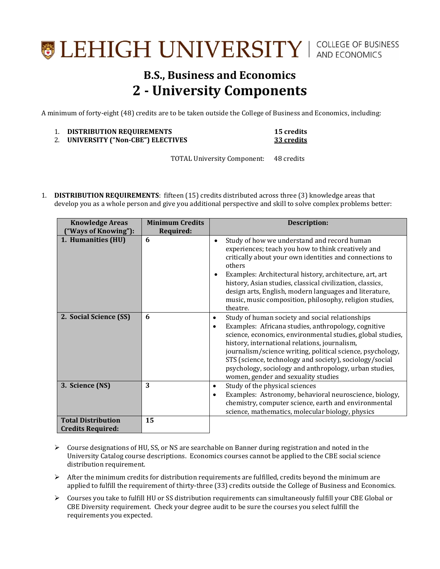## LEHIGH UNIVERSITY | COLLEGE OF BUSINESS

## **B.S., Business and Economics 2 - University Components**

A minimum of forty-eight (48) credits are to be taken outside the College of Business and Economics, including:

|    | <b>DISTRIBUTION REQUIREMENTS</b> | <b>15 credits</b> |
|----|----------------------------------|-------------------|
| 2. | UNIVERSITY ("Non-CBE") ELECTIVES | 33 credits        |

TOTAL University Component: 48 credits

1. **DISTRIBUTION REQUIREMENTS**: fifteen (15) credits distributed across three (3) knowledge areas that develop you as a whole person and give you additional perspective and skill to solve complex problems better:

| <b>Minimum Credits</b><br><b>Knowledge Areas</b><br>("Ways of Knowing"):<br>Required: |    | <b>Description:</b>                                                                                                                                                                                                                                                                                                                                                                                                                                               |  |
|---------------------------------------------------------------------------------------|----|-------------------------------------------------------------------------------------------------------------------------------------------------------------------------------------------------------------------------------------------------------------------------------------------------------------------------------------------------------------------------------------------------------------------------------------------------------------------|--|
| 1. Humanities (HU)                                                                    | 6  | Study of how we understand and record human<br>experiences; teach you how to think creatively and<br>critically about your own identities and connections to<br>others<br>Examples: Architectural history, architecture, art, art<br>history, Asian studies, classical civilization, classics,<br>design arts, English, modern languages and literature,<br>music, music composition, philosophy, religion studies,<br>theatre.                                   |  |
| 2. Social Science (SS)                                                                | 6  | Study of human society and social relationships<br>٠<br>Examples: Africana studies, anthropology, cognitive<br>$\bullet$<br>science, economics, environmental studies, global studies,<br>history, international relations, journalism,<br>journalism/science writing, political science, psychology,<br>STS (science, technology and society), sociology/social<br>psychology, sociology and anthropology, urban studies,<br>women, gender and sexuality studies |  |
| 3. Science (NS)                                                                       | 3  | Study of the physical sciences<br>$\bullet$<br>Examples: Astronomy, behavioral neuroscience, biology,<br>$\bullet$<br>chemistry, computer science, earth and environmental<br>science, mathematics, molecular biology, physics                                                                                                                                                                                                                                    |  |
| <b>Total Distribution</b><br><b>Credits Required:</b>                                 | 15 |                                                                                                                                                                                                                                                                                                                                                                                                                                                                   |  |

- $\triangleright$  Course designations of HU, SS, or NS are searchable on Banner during registration and noted in the University Catalog course descriptions. Economics courses cannot be applied to the CBE social science distribution requirement.
- $\triangleright$  After the minimum credits for distribution requirements are fulfilled, credits beyond the minimum are applied to fulfill the requirement of thirty-three (33) credits outside the College of Business and Economics.
- Courses you take to fulfill HU or SS distribution requirements can simultaneously fulfill your CBE Global or CBE Diversity requirement. Check your degree audit to be sure the courses you select fulfill the requirements you expected.